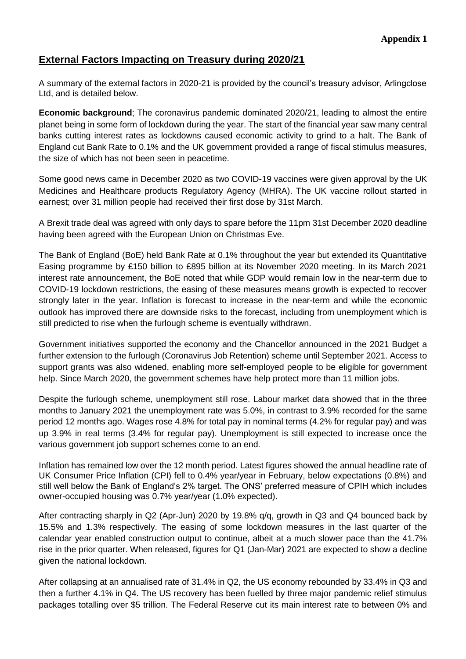## **External Factors Impacting on Treasury during 2020/21**

A summary of the external factors in 2020-21 is provided by the council's treasury advisor, Arlingclose Ltd, and is detailed below.

**Economic background**; The coronavirus pandemic dominated 2020/21, leading to almost the entire planet being in some form of lockdown during the year. The start of the financial year saw many central banks cutting interest rates as lockdowns caused economic activity to grind to a halt. The Bank of England cut Bank Rate to 0.1% and the UK government provided a range of fiscal stimulus measures, the size of which has not been seen in peacetime.

Some good news came in December 2020 as two COVID-19 vaccines were given approval by the UK Medicines and Healthcare products Regulatory Agency (MHRA). The UK vaccine rollout started in earnest; over 31 million people had received their first dose by 31st March.

A Brexit trade deal was agreed with only days to spare before the 11pm 31st December 2020 deadline having been agreed with the European Union on Christmas Eve.

The Bank of England (BoE) held Bank Rate at 0.1% throughout the year but extended its Quantitative Easing programme by £150 billion to £895 billion at its November 2020 meeting. In its March 2021 interest rate announcement, the BoE noted that while GDP would remain low in the near-term due to COVID-19 lockdown restrictions, the easing of these measures means growth is expected to recover strongly later in the year. Inflation is forecast to increase in the near-term and while the economic outlook has improved there are downside risks to the forecast, including from unemployment which is still predicted to rise when the furlough scheme is eventually withdrawn.

Government initiatives supported the economy and the Chancellor announced in the 2021 Budget a further extension to the furlough (Coronavirus Job Retention) scheme until September 2021. Access to support grants was also widened, enabling more self-employed people to be eligible for government help. Since March 2020, the government schemes have help protect more than 11 million jobs.

Despite the furlough scheme, unemployment still rose. Labour market data showed that in the three months to January 2021 the unemployment rate was 5.0%, in contrast to 3.9% recorded for the same period 12 months ago. Wages rose 4.8% for total pay in nominal terms (4.2% for regular pay) and was up 3.9% in real terms (3.4% for regular pay). Unemployment is still expected to increase once the various government job support schemes come to an end.

Inflation has remained low over the 12 month period. Latest figures showed the annual headline rate of UK Consumer Price Inflation (CPI) fell to 0.4% year/year in February, below expectations (0.8%) and still well below the Bank of England's 2% target. The ONS' preferred measure of CPIH which includes owner-occupied housing was 0.7% year/year (1.0% expected).

After contracting sharply in Q2 (Apr-Jun) 2020 by 19.8% q/q, growth in Q3 and Q4 bounced back by 15.5% and 1.3% respectively. The easing of some lockdown measures in the last quarter of the calendar year enabled construction output to continue, albeit at a much slower pace than the 41.7% rise in the prior quarter. When released, figures for Q1 (Jan-Mar) 2021 are expected to show a decline given the national lockdown.

After collapsing at an annualised rate of 31.4% in Q2, the US economy rebounded by 33.4% in Q3 and then a further 4.1% in Q4. The US recovery has been fuelled by three major pandemic relief stimulus packages totalling over \$5 trillion. The Federal Reserve cut its main interest rate to between 0% and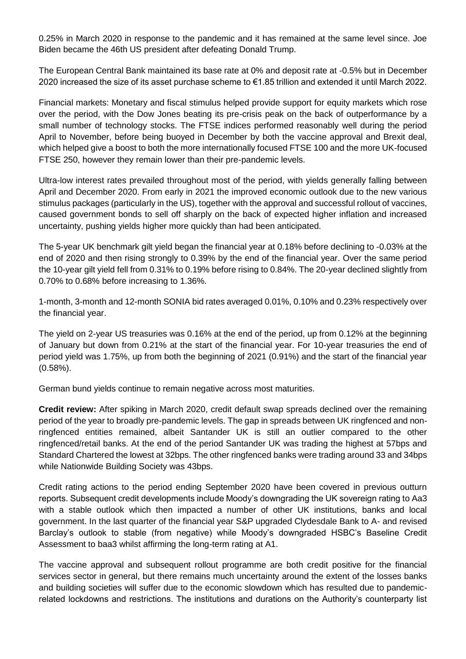0.25% in March 2020 in response to the pandemic and it has remained at the same level since. Joe Biden became the 46th US president after defeating Donald Trump.

The European Central Bank maintained its base rate at 0% and deposit rate at -0.5% but in December 2020 increased the size of its asset purchase scheme to €1.85 trillion and extended it until March 2022.

Financial markets: Monetary and fiscal stimulus helped provide support for equity markets which rose over the period, with the Dow Jones beating its pre-crisis peak on the back of outperformance by a small number of technology stocks. The FTSE indices performed reasonably well during the period April to November, before being buoyed in December by both the vaccine approval and Brexit deal, which helped give a boost to both the more internationally focused FTSE 100 and the more UK-focused FTSE 250, however they remain lower than their pre-pandemic levels.

Ultra-low interest rates prevailed throughout most of the period, with yields generally falling between April and December 2020. From early in 2021 the improved economic outlook due to the new various stimulus packages (particularly in the US), together with the approval and successful rollout of vaccines, caused government bonds to sell off sharply on the back of expected higher inflation and increased uncertainty, pushing yields higher more quickly than had been anticipated.

The 5-year UK benchmark gilt yield began the financial year at 0.18% before declining to -0.03% at the end of 2020 and then rising strongly to 0.39% by the end of the financial year. Over the same period the 10-year gilt yield fell from 0.31% to 0.19% before rising to 0.84%. The 20-year declined slightly from 0.70% to 0.68% before increasing to 1.36%.

1-month, 3-month and 12-month SONIA bid rates averaged 0.01%, 0.10% and 0.23% respectively over the financial year.

The yield on 2-year US treasuries was 0.16% at the end of the period, up from 0.12% at the beginning of January but down from 0.21% at the start of the financial year. For 10-year treasuries the end of period yield was 1.75%, up from both the beginning of 2021 (0.91%) and the start of the financial year (0.58%).

German bund yields continue to remain negative across most maturities.

**Credit review:** After spiking in March 2020, credit default swap spreads declined over the remaining period of the year to broadly pre-pandemic levels. The gap in spreads between UK ringfenced and nonringfenced entities remained, albeit Santander UK is still an outlier compared to the other ringfenced/retail banks. At the end of the period Santander UK was trading the highest at 57bps and Standard Chartered the lowest at 32bps. The other ringfenced banks were trading around 33 and 34bps while Nationwide Building Society was 43bps.

Credit rating actions to the period ending September 2020 have been covered in previous outturn reports. Subsequent credit developments include Moody's downgrading the UK sovereign rating to Aa3 with a stable outlook which then impacted a number of other UK institutions, banks and local government. In the last quarter of the financial year S&P upgraded Clydesdale Bank to A- and revised Barclay's outlook to stable (from negative) while Moody's downgraded HSBC's Baseline Credit Assessment to baa3 whilst affirming the long-term rating at A1.

The vaccine approval and subsequent rollout programme are both credit positive for the financial services sector in general, but there remains much uncertainty around the extent of the losses banks and building societies will suffer due to the economic slowdown which has resulted due to pandemicrelated lockdowns and restrictions. The institutions and durations on the Authority's counterparty list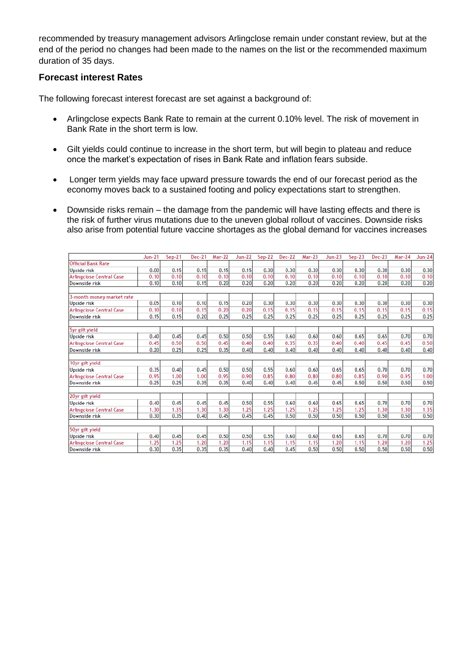recommended by treasury management advisors Arlingclose remain under constant review, but at the end of the period no changes had been made to the names on the list or the recommended maximum duration of 35 days.

## **Forecast interest Rates**

The following forecast interest forecast are set against a background of:

- Arlingclose expects Bank Rate to remain at the current 0.10% level. The risk of movement in Bank Rate in the short term is low.
- Gilt yields could continue to increase in the short term, but will begin to plateau and reduce once the market's expectation of rises in Bank Rate and inflation fears subside.
- Longer term yields may face upward pressure towards the end of our forecast period as the economy moves back to a sustained footing and policy expectations start to strengthen.
- Downside risks remain the damage from the pandemic will have lasting effects and there is the risk of further virus mutations due to the uneven global rollout of vaccines. Downside risks also arise from potential future vaccine shortages as the global demand for vaccines increases

|                                 | $Jun-21$ | $Sep-21$ | <b>Dec-21</b> | <b>Mar-22</b> | <b>Jun-22</b> | $Sep-22$ | Dec-22 | $Mar-23$ | $Jun-23$ | $Sep-23$ | Dec-23 | Mar-24 | <b>Jun-24</b> |
|---------------------------------|----------|----------|---------------|---------------|---------------|----------|--------|----------|----------|----------|--------|--------|---------------|
| <b>Official Bank Rate</b>       |          |          |               |               |               |          |        |          |          |          |        |        |               |
| Upside risk                     | 0.00     | 0.15     | 0.15          | 0.15          | 0.15          | 0.30     | 0.30   | 0.30     | 0.30     | 0.30     | 0.30   | 0.30   | 0.30          |
| <b>Arlingclose Central Case</b> | 0.10     | 0.10     | 0.10          | 0.10          | 0.10          | 0.10     | 0.10   | 0.10     | 0.10     | 0.10     | 0.10   | 0.10   | 0.10          |
| Downside risk                   | 0.10     | 0.10     | 0.15          | 0.20          | 0.20          | 0.20     | 0.20   | 0.20     | 0.20     | 0.20     | 0.20   | 0.20   | 0.20          |
|                                 |          |          |               |               |               |          |        |          |          |          |        |        |               |
| 3-month money market rate       |          |          |               |               |               |          |        |          |          |          |        |        |               |
| <b>Upside risk</b>              | 0.05     | 0.10     | 0.10          | 0.15          | 0.20          | 0.30     | 0.30   | 0.30     | 0.30     | 0.30     | 0.30   | 0.30   | 0.30          |
| Arlingclose Central Case        | 0.10     | 0.10     | 0.15          | 0.20          | 0.20          | 0.15     | 0.15   | 0.15     | 0.15     | 0.15     | 0.15   | 0.15   | 0.15          |
| Downside risk                   | 0.15     | 0.15     | 0.20          | 0.25          | 0.25          | 0.25     | 0.25   | 0.25     | 0.25     | 0.25     | 0.25   | 0.25   | 0.25          |
|                                 |          |          |               |               |               |          |        |          |          |          |        |        |               |
| 5yr gilt yield                  |          |          |               |               |               |          |        |          |          |          |        |        |               |
| Upside risk                     | 0.40     | 0.45     | 0.45          | 0.50          | 0.50          | 0.55     | 0.60   | 0.60     | 0.60     | 0.65     | 0.65   | 0.70   | 0.70          |
| <b>Arlingclose Central Case</b> | 0.45     | 0.50     | 0.50          | 0.45          | 0.40          | 0.40     | 0.35   | 0.35     | 0.40     | 0.40     | 0.45   | 0.45   | 0.50          |
| Downside risk                   | 0.20     | 0.25     | 0.25          | 0.35          | 0.40          | 0.40     | 0.40   | 0.40     | 0.40     | 0.40     | 0.40   | 0.40   | 0.40          |
|                                 |          |          |               |               |               |          |        |          |          |          |        |        |               |
| 10yr gilt yield                 |          |          |               |               |               |          |        |          |          |          |        |        |               |
| Upside risk                     | 0.35     | 0.40     | 0.45          | 0.50          | 0.50          | 0.55     | 0.60   | 0.60     | 0.65     | 0.65     | 0.70   | 0.70   | 0.70          |
| Arlingclose Central Case        | 0.95     | 1.00     | 1.00          | 0.95          | 0.90          | 0.85     | 0.80   | 0.80     | 0.80     | 0.85     | 0.90   | 0.95   | 1.00          |
| Downside risk                   | 0.25     | 0.25     | 0.35          | 0.35          | 0.40          | 0.40     | 0.40   | 0.45     | 0.45     | 0.50     | 0.50   | 0.50   | 0.50          |
|                                 |          |          |               |               |               |          |        |          |          |          |        |        |               |
| 20yr gilt yield                 |          |          |               |               |               |          |        |          |          |          |        |        |               |
| Upside risk                     | 0.40     | 0.45     | 0.45          | 0.45          | 0.50          | 0.55     | 0.60   | 0.60     | 0.65     | 0.65     | 0.70   | 0.70   | 0.70          |
| Arlingclose Central Case        | 1.30     | 1.35     | 1.30          | 1.30          | 1.25          | 1.25     | 1.25   | 1.25     | 1.25     | 1.25     | 1.30   | 1.30   | 1.35          |
| Downside risk                   | 0.30     | 0.35     | 0.40          | 0.45          | 0.45          | 0.45     | 0.50   | 0.50     | 0.50     | 0.50     | 0.50   | 0.50   | 0.50          |
|                                 |          |          |               |               |               |          |        |          |          |          |        |        |               |
| 50yr gilt yield                 |          |          |               |               |               |          |        |          |          |          |        |        |               |
| Upside risk                     | 0.40     | 0.45     | 0.45          | 0.50          | 0.50          | 0.55     | 0.60   | 0.60     | 0.65     | 0.65     | 0.70   | 0.70   | 0.70          |
| <b>Arlingclose Central Case</b> | 1.25     | 1.25     | 1.20          | 1.20          | 1.15          | 1.15     | 1.15   | 1.15     | 1.20     | 1.15     | 1.20   | 1.20   | 1.25          |
| Downside risk                   | 0.30     | 0.35     | 0.35          | 0.35          | 0.40          | 0.40     | 0.45   | 0.50     | 0.50     | 0.50     | 0.50   | 0.50   | 0.50          |